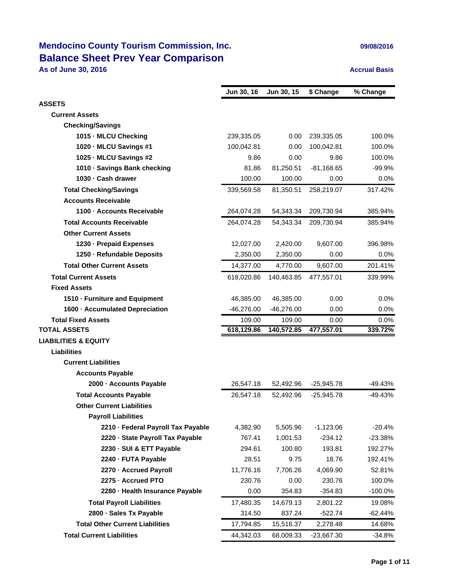## **Mendocino County Tourism Commission, Inc. 1999/08/2016** 09/08/2016 **Balance Sheet Prev Year Comparison**

**As of June 30, 2016 Accrual Basis Accrual Basis** 

|                                        | Jun 30, 16   | Jun 30, 15   | \$ Change    | % Change   |
|----------------------------------------|--------------|--------------|--------------|------------|
| <b>ASSETS</b>                          |              |              |              |            |
| <b>Current Assets</b>                  |              |              |              |            |
| <b>Checking/Savings</b>                |              |              |              |            |
| 1015 - MLCU Checking                   | 239,335.05   | 0.00         | 239,335.05   | 100.0%     |
| 1020 MLCU Savings #1                   | 100,042.81   | 0.00         | 100,042.81   | 100.0%     |
| 1025 MLCU Savings #2                   | 9.86         | 0.00         | 9.86         | 100.0%     |
| 1010 · Savings Bank checking           | 81.86        | 81,250.51    | $-81,168.65$ | $-99.9%$   |
| 1030 Cash drawer                       | 100.00       | 100.00       | 0.00         | 0.0%       |
| <b>Total Checking/Savings</b>          | 339,569.58   | 81,350.51    | 258,219.07   | 317.42%    |
| <b>Accounts Receivable</b>             |              |              |              |            |
| 1100 Accounts Receivable               | 264,074.28   | 54,343.34    | 209,730.94   | 385.94%    |
| <b>Total Accounts Receivable</b>       | 264,074.28   | 54,343.34    | 209,730.94   | 385.94%    |
| <b>Other Current Assets</b>            |              |              |              |            |
| 1230 - Prepaid Expenses                | 12,027.00    | 2,420.00     | 9,607.00     | 396.98%    |
| 1250 - Refundable Deposits             | 2,350.00     | 2,350.00     | 0.00         | 0.0%       |
| <b>Total Other Current Assets</b>      | 14,377.00    | 4,770.00     | 9,607.00     | 201.41%    |
| <b>Total Current Assets</b>            | 618,020.86   | 140,463.85   | 477,557.01   | 339.99%    |
| <b>Fixed Assets</b>                    |              |              |              |            |
| 1510 - Furniture and Equipment         | 46,385.00    | 46,385.00    | 0.00         | 0.0%       |
| 1600 - Accumulated Depreciation        | $-46,276.00$ | $-46,276.00$ | 0.00         | $0.0\%$    |
| <b>Total Fixed Assets</b>              | 109.00       | 109.00       | 0.00         | 0.0%       |
| <b>TOTAL ASSETS</b>                    | 618,129.86   | 140,572.85   | 477,557.01   | 339.72%    |
| <b>LIABILITIES &amp; EQUITY</b>        |              |              |              |            |
| <b>Liabilities</b>                     |              |              |              |            |
| <b>Current Liabilities</b>             |              |              |              |            |
| <b>Accounts Payable</b>                |              |              |              |            |
| 2000 - Accounts Payable                | 26,547.18    | 52,492.96    | $-25,945.78$ | -49.43%    |
| <b>Total Accounts Payable</b>          | 26,547.18    | 52.492.96    | $-25,945.78$ | $-49.43%$  |
| <b>Other Current Liabilities</b>       |              |              |              |            |
| <b>Payroll Liabilities</b>             |              |              |              |            |
| 2210 - Federal Payroll Tax Payable     | 4,382.90     | 5,505.96     | $-1,123.06$  | $-20.4%$   |
| 2220 - State Payroll Tax Payable       | 767.41       | 1,001.53     | $-234.12$    | $-23.38%$  |
| 2230 - SUI & ETT Payable               | 294.61       | 100.80       | 193.81       | 192.27%    |
| 2240 - FUTA Payable                    | 28.51        | 9.75         | 18.76        | 192.41%    |
| 2270 - Accrued Payroll                 | 11,776.16    | 7,706.26     | 4,069.90     | 52.81%     |
| 2275 - Accrued PTO                     | 230.76       | 0.00         | 230.76       | 100.0%     |
| 2280 - Health Insurance Payable        | 0.00         | 354.83       | $-354.83$    | $-100.0\%$ |
| <b>Total Payroll Liabilities</b>       | 17,480.35    | 14,679.13    | 2,801.22     | 19.08%     |
| 2800 - Sales Tx Payable                | 314.50       | 837.24       | $-522.74$    | $-62.44%$  |
| <b>Total Other Current Liabilities</b> | 17,794.85    | 15,516.37    | 2,278.48     | 14.68%     |
| <b>Total Current Liabilities</b>       | 44,342.03    | 68,009.33    | -23,667.30   | $-34.8%$   |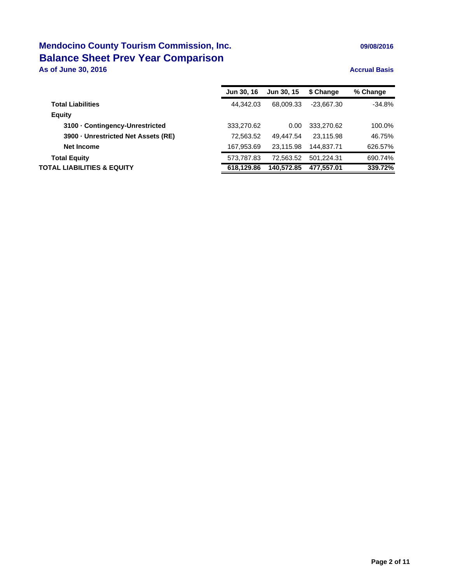## **Mendocino County Tourism Commission, Inc. 1999/08/2016** 09/08/2016 **Balance Sheet Prev Year Comparison**

**As of June 30, 2016 Accrual Basis Accrual Basis** 

|                                   | <b>Jun 30, 16</b> | <b>Jun 30, 15</b> | \$ Change    | % Change |
|-----------------------------------|-------------------|-------------------|--------------|----------|
| <b>Total Liabilities</b>          | 44.342.03         | 68.009.33         | $-23.667.30$ | $-34.8%$ |
| <b>Equity</b>                     |                   |                   |              |          |
| 3100 Contingency-Unrestricted     | 333,270.62        | 0.00              | 333,270.62   | 100.0%   |
| 3900 Unrestricted Net Assets (RE) | 72.563.52         | 49.447.54         | 23.115.98    | 46.75%   |
| Net Income                        | 167,953.69        | 23.115.98         | 144.837.71   | 626.57%  |
| <b>Total Equity</b>               | 573,787.83        | 72.563.52         | 501.224.31   | 690.74%  |
| TOTAL LIABILITIES & EQUITY        | 618.129.86        | 140.572.85        | 477.557.01   | 339.72%  |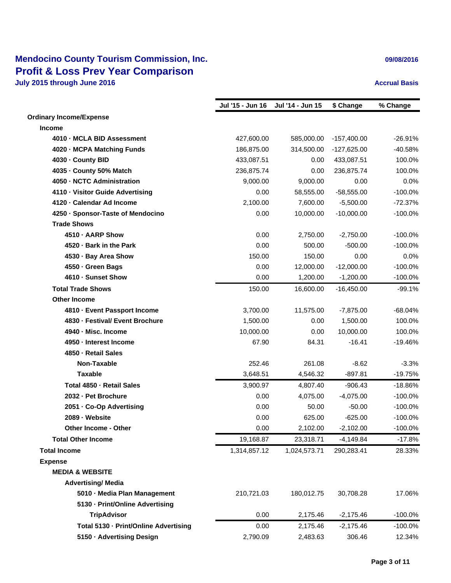### **Mendocino County Tourism Commission, Inc. Canadian Commission and Constant Constant Constant Constant Constant Constant Constant Constant Constant Constant Constant Constant Constant Constant Constant Constant Constant Profit & Loss Prev Year Comparison July 2015 through June 2016 Accrual Basis Accrual Basis Accrual Basis**

|                                       | Jul '15 - Jun 16 | Jul '14 - Jun 15 | \$ Change     | % Change   |
|---------------------------------------|------------------|------------------|---------------|------------|
| <b>Ordinary Income/Expense</b>        |                  |                  |               |            |
| Income                                |                  |                  |               |            |
| 4010 - MCLA BID Assessment            | 427,600.00       | 585,000.00       | $-157,400.00$ | $-26.91%$  |
| 4020 - MCPA Matching Funds            | 186,875.00       | 314,500.00       | $-127,625.00$ | $-40.58%$  |
| 4030 - County BID                     | 433,087.51       | 0.00             | 433,087.51    | 100.0%     |
| 4035 - County 50% Match               | 236,875.74       | 0.00             | 236,875.74    | 100.0%     |
| 4050 - NCTC Administration            | 9,000.00         | 9,000.00         | 0.00          | 0.0%       |
| 4110 - Visitor Guide Advertising      | 0.00             | 58,555.00        | $-58,555.00$  | $-100.0\%$ |
| 4120 - Calendar Ad Income             | 2,100.00         | 7,600.00         | $-5,500.00$   | $-72.37%$  |
| 4250 - Sponsor-Taste of Mendocino     | 0.00             | 10,000.00        | $-10,000.00$  | $-100.0\%$ |
| <b>Trade Shows</b>                    |                  |                  |               |            |
| 4510 - AARP Show                      | 0.00             | 2,750.00         | $-2,750.00$   | $-100.0%$  |
| 4520 - Bark in the Park               | 0.00             | 500.00           | $-500.00$     | $-100.0\%$ |
| 4530 · Bay Area Show                  | 150.00           | 150.00           | 0.00          | 0.0%       |
| 4550 - Green Bags                     | 0.00             | 12,000.00        | $-12,000.00$  | $-100.0%$  |
| 4610 - Sunset Show                    | 0.00             | 1,200.00         | $-1,200.00$   | $-100.0\%$ |
| <b>Total Trade Shows</b>              | 150.00           | 16,600.00        | $-16,450.00$  | $-99.1%$   |
| <b>Other Income</b>                   |                  |                  |               |            |
| 4810 - Event Passport Income          | 3,700.00         | 11,575.00        | $-7,875.00$   | $-68.04%$  |
| 4830 - Festival/ Event Brochure       | 1,500.00         | 0.00             | 1,500.00      | 100.0%     |
| 4940 - Misc. Income                   | 10,000.00        | 0.00             | 10,000.00     | 100.0%     |
| 4950 - Interest Income                | 67.90            | 84.31            | $-16.41$      | $-19.46%$  |
| 4850 - Retail Sales                   |                  |                  |               |            |
| Non-Taxable                           | 252.46           | 261.08           | $-8.62$       | $-3.3%$    |
| <b>Taxable</b>                        | 3,648.51         | 4,546.32         | $-897.81$     | $-19.75%$  |
| Total 4850 - Retail Sales             | 3,900.97         | 4,807.40         | $-906.43$     | $-18.86%$  |
| 2032 - Pet Brochure                   | 0.00             | 4,075.00         | $-4,075.00$   | $-100.0\%$ |
| 2051 - Co-Op Advertising              | 0.00             | 50.00            | $-50.00$      | $-100.0%$  |
| 2089 - Website                        | 0.00             | 625.00           | $-625.00$     | $-100.0\%$ |
| Other Income - Other                  | 0.00             | 2,102.00         | $-2,102.00$   | $-100.0%$  |
| <b>Total Other Income</b>             | 19,168.87        | 23,318.71        | $-4,149.84$   | $-17.8%$   |
| <b>Total Income</b>                   | 1,314,857.12     | 1,024,573.71     | 290,283.41    | 28.33%     |
| <b>Expense</b>                        |                  |                  |               |            |
| <b>MEDIA &amp; WEBSITE</b>            |                  |                  |               |            |
| <b>Advertising/ Media</b>             |                  |                  |               |            |
| 5010 Media Plan Management            | 210,721.03       | 180,012.75       | 30,708.28     | 17.06%     |
| 5130 Print/Online Advertising         |                  |                  |               |            |
| <b>TripAdvisor</b>                    | 0.00             | 2,175.46         | $-2,175.46$   | $-100.0\%$ |
| Total 5130 - Print/Online Advertising | 0.00             | 2,175.46         | $-2,175.46$   | $-100.0%$  |
| 5150 Advertising Design               | 2,790.09         | 2,483.63         | 306.46        | 12.34%     |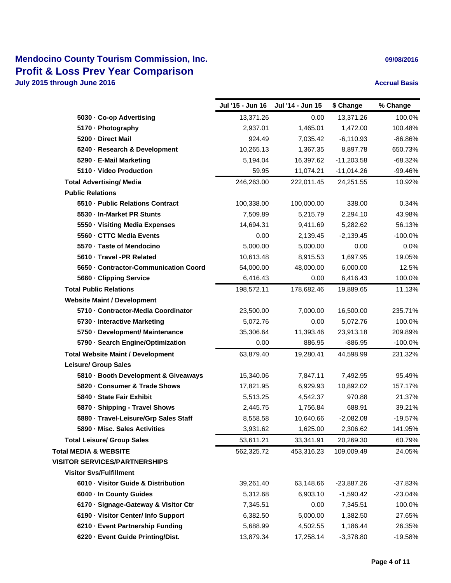### **Mendocino County Tourism Commission, Inc. Canadian Commission and Constantine Constant Commission and Constant Constant Constant Constant Constant Constant Constant Constant Constant Constant Constant Constant Constant Profit & Loss Prev Year Comparison July 2015 through June 2016 Accrual Basis Accrual Basis Accrual Basis**

|                                          | Jul '15 - Jun 16 | Jul '14 - Jun 15 | \$ Change    | % Change   |
|------------------------------------------|------------------|------------------|--------------|------------|
| 5030 Co-op Advertising                   | 13,371.26        | 0.00             | 13,371.26    | 100.0%     |
| 5170 Photography                         | 2,937.01         | 1,465.01         | 1,472.00     | 100.48%    |
| 5200 Direct Mail                         | 924.49           | 7,035.42         | $-6,110.93$  | -86.86%    |
| 5240 Research & Development              | 10,265.13        | 1,367.35         | 8,897.78     | 650.73%    |
| 5290 E-Mail Marketing                    | 5,194.04         | 16,397.62        | $-11,203.58$ | $-68.32%$  |
| 5110 - Video Production                  | 59.95            | 11,074.21        | $-11,014.26$ | -99.46%    |
| <b>Total Advertising/ Media</b>          | 246,263.00       | 222,011.45       | 24,251.55    | 10.92%     |
| <b>Public Relations</b>                  |                  |                  |              |            |
| 5510 Public Relations Contract           | 100,338.00       | 100,000.00       | 338.00       | 0.34%      |
| 5530 In-Market PR Stunts                 | 7,509.89         | 5,215.79         | 2,294.10     | 43.98%     |
| 5550 Visiting Media Expenses             | 14,694.31        | 9,411.69         | 5,282.62     | 56.13%     |
| 5560 CTTC Media Events                   | 0.00             | 2,139.45         | $-2,139.45$  | $-100.0%$  |
| 5570 Taste of Mendocino                  | 5,000.00         | 5,000.00         | 0.00         | 0.0%       |
| 5610 Travel -PR Related                  | 10,613.48        | 8,915.53         | 1,697.95     | 19.05%     |
| 5650 Contractor-Communication Coord      | 54,000.00        | 48,000.00        | 6,000.00     | 12.5%      |
| 5660 Clipping Service                    | 6,416.43         | 0.00             | 6,416.43     | 100.0%     |
| <b>Total Public Relations</b>            | 198,572.11       | 178,682.46       | 19,889.65    | 11.13%     |
| <b>Website Maint / Development</b>       |                  |                  |              |            |
| 5710 - Contractor-Media Coordinator      | 23,500.00        | 7,000.00         | 16,500.00    | 235.71%    |
| 5730 Interactive Marketing               | 5,072.76         | 0.00             | 5,072.76     | 100.0%     |
| 5750 Development/ Maintenance            | 35,306.64        | 11,393.46        | 23,913.18    | 209.89%    |
| 5790 Search Engine/Optimization          | 0.00             | 886.95           | $-886.95$    | $-100.0\%$ |
| <b>Total Website Maint / Development</b> | 63,879.40        | 19,280.41        | 44,598.99    | 231.32%    |
| <b>Leisure/ Group Sales</b>              |                  |                  |              |            |
| 5810 Booth Development & Giveaways       | 15,340.06        | 7,847.11         | 7,492.95     | 95.49%     |
| 5820 Consumer & Trade Shows              | 17,821.95        | 6,929.93         | 10,892.02    | 157.17%    |
| 5840 - State Fair Exhibit                | 5,513.25         | 4,542.37         | 970.88       | 21.37%     |
| 5870 · Shipping - Travel Shows           | 2,445.75         | 1,756.84         | 688.91       | 39.21%     |
| 5880 - Travel-Leisure/Grp Sales Staff    | 8,558.58         | 10,640.66        | $-2,082.08$  | $-19.57%$  |
| 5890 Misc. Sales Activities              | 3,931.62         | 1,625.00         | 2,306.62     | 141.95%    |
| <b>Total Leisure/ Group Sales</b>        | 53,611.21        | 33,341.91        | 20,269.30    | 60.79%     |
| <b>Total MEDIA &amp; WEBSITE</b>         | 562,325.72       | 453,316.23       | 109,009.49   | 24.05%     |
| <b>VISITOR SERVICES/PARTNERSHIPS</b>     |                  |                  |              |            |
| <b>Visitor Svs/Fulfillment</b>           |                  |                  |              |            |
| 6010 Visitor Guide & Distribution        | 39,261.40        | 63,148.66        | $-23,887.26$ | $-37.83%$  |
| 6040 In County Guides                    | 5,312.68         | 6,903.10         | $-1,590.42$  | $-23.04%$  |
| 6170 · Signage-Gateway & Visitor Ctr     | 7,345.51         | 0.00             | 7,345.51     | 100.0%     |
| 6190 - Visitor Center/ Info Support      | 6,382.50         | 5,000.00         | 1,382.50     | 27.65%     |
| 6210 - Event Partnership Funding         | 5,688.99         | 4,502.55         | 1,186.44     | 26.35%     |
| 6220 · Event Guide Printing/Dist.        | 13,879.34        | 17,258.14        | $-3,378.80$  | $-19.58%$  |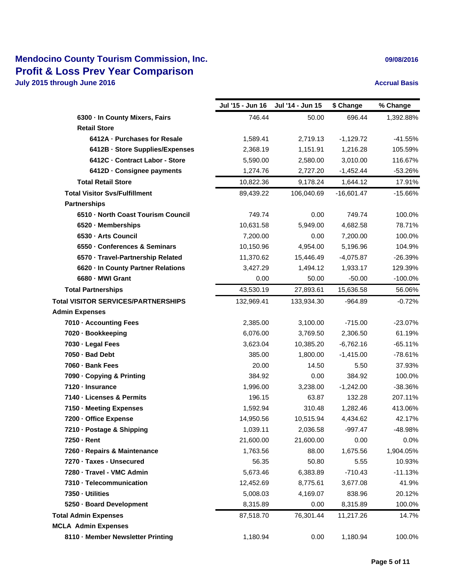### **Mendocino County Tourism Commission, Inc. Canadian Commission and Constantine Constant Commission and Constant Constant Constant Constant Constant Constant Constant Constant Constant Constant Constant Constant Constant Profit & Loss Prev Year Comparison July 2015 through June 2016 Accrual Basis Accrual Basis Accrual Basis**

|                                            | Jul '15 - Jun 16 | Jul '14 - Jun 15 | \$ Change    | % Change   |
|--------------------------------------------|------------------|------------------|--------------|------------|
| 6300 In County Mixers, Fairs               | 746.44           | 50.00            | 696.44       | 1,392.88%  |
| <b>Retail Store</b>                        |                  |                  |              |            |
| 6412A - Purchases for Resale               | 1,589.41         | 2,719.13         | $-1,129.72$  | $-41.55%$  |
| 6412B - Store Supplies/Expenses            | 2,368.19         | 1,151.91         | 1,216.28     | 105.59%    |
| 6412C - Contract Labor - Store             | 5,590.00         | 2,580.00         | 3,010.00     | 116.67%    |
| 6412D - Consignee payments                 | 1,274.76         | 2,727.20         | $-1,452.44$  | -53.26%    |
| <b>Total Retail Store</b>                  | 10,822.36        | 9,178.24         | 1,644.12     | 17.91%     |
| <b>Total Visitor Sys/Fulfillment</b>       | 89,439.22        | 106,040.69       | $-16,601.47$ | $-15.66%$  |
| <b>Partnerships</b>                        |                  |                  |              |            |
| 6510 North Coast Tourism Council           | 749.74           | 0.00             | 749.74       | 100.0%     |
| 6520 Memberships                           | 10,631.58        | 5,949.00         | 4,682.58     | 78.71%     |
| 6530 Arts Council                          | 7,200.00         | 0.00             | 7,200.00     | 100.0%     |
| 6550 Conferences & Seminars                | 10,150.96        | 4,954.00         | 5,196.96     | 104.9%     |
| 6570 · Travel-Partnership Related          | 11,370.62        | 15,446.49        | $-4,075.87$  | $-26.39%$  |
| 6620 In County Partner Relations           | 3,427.29         | 1,494.12         | 1,933.17     | 129.39%    |
| 6680 - MWI Grant                           | 0.00             | 50.00            | $-50.00$     | $-100.0\%$ |
| <b>Total Partnerships</b>                  | 43,530.19        | 27,893.61        | 15,636.58    | 56.06%     |
| <b>Total VISITOR SERVICES/PARTNERSHIPS</b> | 132,969.41       | 133,934.30       | $-964.89$    | $-0.72%$   |
| <b>Admin Expenses</b>                      |                  |                  |              |            |
| 7010 - Accounting Fees                     | 2,385.00         | 3,100.00         | $-715.00$    | $-23.07%$  |
| 7020 - Bookkeeping                         | 6,076.00         | 3,769.50         | 2,306.50     | 61.19%     |
| 7030 - Legal Fees                          | 3,623.04         | 10,385.20        | $-6,762.16$  | $-65.11%$  |
| 7050 - Bad Debt                            | 385.00           | 1,800.00         | $-1,415.00$  | $-78.61%$  |
| 7060 - Bank Fees                           | 20.00            | 14.50            | 5.50         | 37.93%     |
| 7090 - Copying & Printing                  | 384.92           | 0.00             | 384.92       | 100.0%     |
| 7120 - Insurance                           | 1,996.00         | 3,238.00         | $-1,242.00$  | $-38.36%$  |
| 7140 - Licenses & Permits                  | 196.15           | 63.87            | 132.28       | 207.11%    |
| 7150 - Meeting Expenses                    | 1,592.94         | 310.48           | 1,282.46     | 413.06%    |
| 7200 - Office Expense                      | 14,950.56        | 10,515.94        | 4,434.62     | 42.17%     |
| 7210 - Postage & Shipping                  | 1,039.11         | 2,036.58         | $-997.47$    | -48.98%    |
| 7250 Rent                                  | 21,600.00        | 21,600.00        | 0.00         | $0.0\%$    |
| 7260 - Repairs & Maintenance               | 1,763.56         | 88.00            | 1,675.56     | 1,904.05%  |
| 7270 Taxes - Unsecured                     | 56.35            | 50.80            | 5.55         | 10.93%     |
| 7280 - Travel - VMC Admin                  | 5,673.46         | 6,383.89         | $-710.43$    | $-11.13%$  |
| 7310 - Telecommunication                   | 12,452.69        | 8,775.61         | 3,677.08     | 41.9%      |
| 7350 Utilities                             | 5,008.03         | 4,169.07         | 838.96       | 20.12%     |
| 5250 · Board Development                   | 8,315.89         | 0.00             | 8,315.89     | 100.0%     |
| <b>Total Admin Expenses</b>                | 87,518.70        | 76,301.44        | 11,217.26    | 14.7%      |
| <b>MCLA Admin Expenses</b>                 |                  |                  |              |            |
| 8110 - Member Newsletter Printing          | 1,180.94         | 0.00             | 1,180.94     | 100.0%     |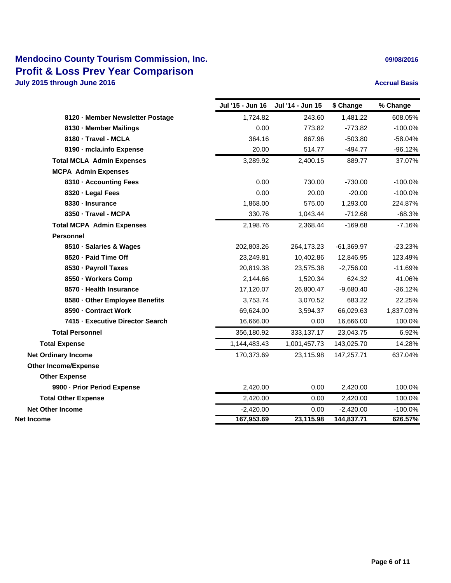### **Mendocino County Tourism Commission, Inc. Profit & Loss Prev Year Comparison July 2015 through June 2016 Accrual Basis Accrual Basis Accrual Basis**

| 09/08/2016 |  |  |  |  |
|------------|--|--|--|--|
|------------|--|--|--|--|

|                                  | Jul '15 - Jun 16 | Jul '14 - Jun 15 | \$ Change    | % Change  |
|----------------------------------|------------------|------------------|--------------|-----------|
| 8120 - Member Newsletter Postage | 1,724.82         | 243.60           | 1,481.22     | 608.05%   |
| 8130 - Member Mailings           | 0.00             | 773.82           | $-773.82$    | $-100.0%$ |
| 8180 - Travel - MCLA             | 364.16           | 867.96           | $-503.80$    | $-58.04%$ |
| 8190 - mcla.info Expense         | 20.00            | 514.77           | $-494.77$    | -96.12%   |
| <b>Total MCLA Admin Expenses</b> | 3,289.92         | 2,400.15         | 889.77       | 37.07%    |
| <b>MCPA Admin Expenses</b>       |                  |                  |              |           |
| 8310 - Accounting Fees           | 0.00             | 730.00           | $-730.00$    | $-100.0%$ |
| 8320 - Legal Fees                | 0.00             | 20.00            | $-20.00$     | $-100.0%$ |
| 8330 - Insurance                 | 1,868.00         | 575.00           | 1,293.00     | 224.87%   |
| 8350 - Travel - MCPA             | 330.76           | 1,043.44         | $-712.68$    | $-68.3%$  |
| <b>Total MCPA Admin Expenses</b> | 2,198.76         | 2,368.44         | $-169.68$    | $-7.16%$  |
| <b>Personnel</b>                 |                  |                  |              |           |
| 8510 - Salaries & Wages          | 202,803.26       | 264,173.23       | $-61,369.97$ | $-23.23%$ |
| 8520 - Paid Time Off             | 23,249.81        | 10,402.86        | 12,846.95    | 123.49%   |
| 8530 - Payroll Taxes             | 20,819.38        | 23,575.38        | $-2,756.00$  | $-11.69%$ |
| 8550 - Workers Comp              | 2,144.66         | 1,520.34         | 624.32       | 41.06%    |
| 8570 - Health Insurance          | 17,120.07        | 26,800.47        | $-9,680.40$  | $-36.12%$ |
| 8580 - Other Employee Benefits   | 3,753.74         | 3,070.52         | 683.22       | 22.25%    |
| 8590 - Contract Work             | 69,624.00        | 3,594.37         | 66,029.63    | 1,837.03% |
| 7415 - Executive Director Search | 16,666.00        | 0.00             | 16,666.00    | 100.0%    |
| <b>Total Personnel</b>           | 356,180.92       | 333,137.17       | 23,043.75    | 6.92%     |
| <b>Total Expense</b>             | 1,144,483.43     | 1,001,457.73     | 143,025.70   | 14.28%    |
| <b>Net Ordinary Income</b>       | 170,373.69       | 23,115.98        | 147,257.71   | 637.04%   |
| <b>Other Income/Expense</b>      |                  |                  |              |           |
| <b>Other Expense</b>             |                  |                  |              |           |
| 9900 - Prior Period Expense      | 2,420.00         | 0.00             | 2,420.00     | 100.0%    |
| <b>Total Other Expense</b>       | 2,420.00         | 0.00             | 2,420.00     | 100.0%    |
| <b>Net Other Income</b>          | $-2,420.00$      | 0.00             | $-2,420.00$  | $-100.0%$ |
| Net Income                       | 167,953.69       | 23,115.98        | 144,837.71   | 626.57%   |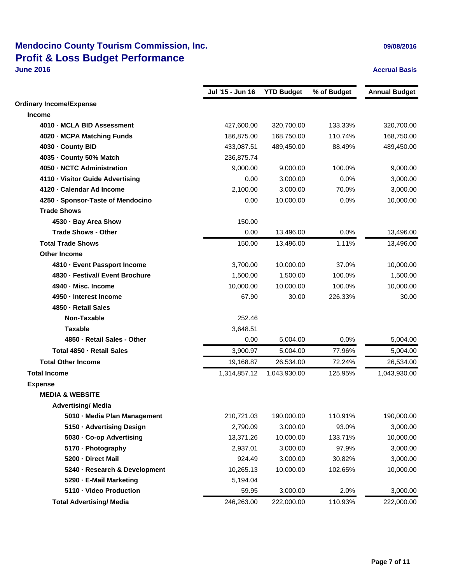# **Mendocino County Tourism Commission, Inc. Discription 2008/2016 09/08/2016 Profit & Loss Budget Performance**

### **June 2016 Accrual Basis**

|                                   | Jul '15 - Jun 16 | <b>YTD Budget</b> | % of Budget | <b>Annual Budget</b> |
|-----------------------------------|------------------|-------------------|-------------|----------------------|
| <b>Ordinary Income/Expense</b>    |                  |                   |             |                      |
| <b>Income</b>                     |                  |                   |             |                      |
| 4010 - MCLA BID Assessment        | 427,600.00       | 320,700.00        | 133.33%     | 320,700.00           |
| 4020 - MCPA Matching Funds        | 186,875.00       | 168,750.00        | 110.74%     | 168,750.00           |
| 4030 - County BID                 | 433,087.51       | 489,450.00        | 88.49%      | 489,450.00           |
| 4035 - County 50% Match           | 236,875.74       |                   |             |                      |
| 4050 - NCTC Administration        | 9,000.00         | 9,000.00          | 100.0%      | 9,000.00             |
| 4110 - Visitor Guide Advertising  | 0.00             | 3,000.00          | 0.0%        | 3,000.00             |
| 4120 - Calendar Ad Income         | 2,100.00         | 3,000.00          | 70.0%       | 3,000.00             |
| 4250 · Sponsor-Taste of Mendocino | 0.00             | 10,000.00         | 0.0%        | 10,000.00            |
| <b>Trade Shows</b>                |                  |                   |             |                      |
| 4530 - Bay Area Show              | 150.00           |                   |             |                      |
| <b>Trade Shows - Other</b>        | 0.00             | 13,496.00         | 0.0%        | 13,496.00            |
| <b>Total Trade Shows</b>          | 150.00           | 13,496.00         | 1.11%       | 13,496.00            |
| <b>Other Income</b>               |                  |                   |             |                      |
| 4810 - Event Passport Income      | 3,700.00         | 10,000.00         | 37.0%       | 10,000.00            |
| 4830 - Festival/ Event Brochure   | 1,500.00         | 1,500.00          | 100.0%      | 1,500.00             |
| 4940 - Misc. Income               | 10,000.00        | 10,000.00         | 100.0%      | 10,000.00            |
| 4950 - Interest Income            | 67.90            | 30.00             | 226.33%     | 30.00                |
| 4850 - Retail Sales               |                  |                   |             |                      |
| Non-Taxable                       | 252.46           |                   |             |                      |
| <b>Taxable</b>                    | 3,648.51         |                   |             |                      |
| 4850 - Retail Sales - Other       | 0.00             | 5,004.00          | 0.0%        | 5,004.00             |
| Total 4850 - Retail Sales         | 3,900.97         | 5,004.00          | 77.96%      | 5,004.00             |
| <b>Total Other Income</b>         | 19,168.87        | 26,534.00         | 72.24%      | 26,534.00            |
| <b>Total Income</b>               | 1,314,857.12     | 1,043,930.00      | 125.95%     | 1,043,930.00         |
| <b>Expense</b>                    |                  |                   |             |                      |
| <b>MEDIA &amp; WEBSITE</b>        |                  |                   |             |                      |
| <b>Advertising/ Media</b>         |                  |                   |             |                      |
| 5010 - Media Plan Management      | 210,721.03       | 190,000.00        | 110.91%     | 190,000.00           |
| 5150 - Advertising Design         | 2,790.09         | 3,000.00          | 93.0%       | 3,000.00             |
| 5030 - Co-op Advertising          | 13,371.26        | 10,000.00         | 133.71%     | 10,000.00            |
| 5170 - Photography                | 2,937.01         | 3,000.00          | 97.9%       | 3,000.00             |
| 5200 - Direct Mail                | 924.49           | 3,000.00          | 30.82%      | 3,000.00             |
| 5240 - Research & Development     | 10,265.13        | 10,000.00         | 102.65%     | 10,000.00            |
| 5290 - E-Mail Marketing           | 5,194.04         |                   |             |                      |
| 5110 - Video Production           | 59.95            | 3,000.00          | 2.0%        | 3,000.00             |
| <b>Total Advertising/ Media</b>   | 246,263.00       | 222,000.00        | 110.93%     | 222,000.00           |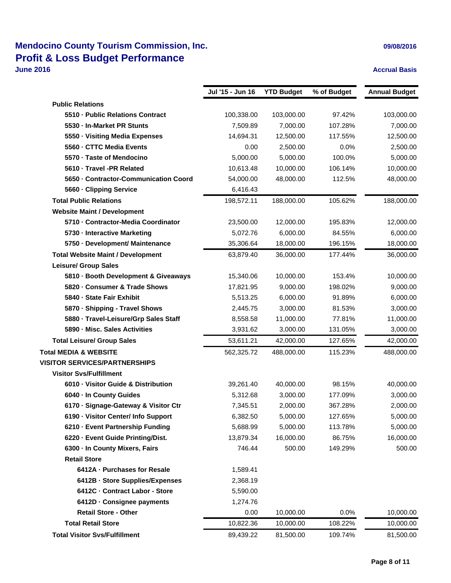## **Mendocino County Tourism Commission, Inc. Discription 2008/2016 09/08/2016 Profit & Loss Budget Performance**

### **June 2016 Accrual Basis**

|                                          | Jul '15 - Jun 16 | <b>YTD Budget</b> | % of Budget | <b>Annual Budget</b> |
|------------------------------------------|------------------|-------------------|-------------|----------------------|
| <b>Public Relations</b>                  |                  |                   |             |                      |
| 5510 - Public Relations Contract         | 100,338.00       | 103,000.00        | 97.42%      | 103,000.00           |
| 5530 - In-Market PR Stunts               | 7,509.89         | 7,000.00          | 107.28%     | 7,000.00             |
| 5550 - Visiting Media Expenses           | 14,694.31        | 12,500.00         | 117.55%     | 12,500.00            |
| 5560 - CTTC Media Events                 | 0.00             | 2,500.00          | 0.0%        | 2,500.00             |
| 5570 - Taste of Mendocino                | 5,000.00         | 5,000.00          | 100.0%      | 5,000.00             |
| 5610 - Travel -PR Related                | 10,613.48        | 10,000.00         | 106.14%     | 10,000.00            |
| 5650 - Contractor-Communication Coord    | 54,000.00        | 48,000.00         | 112.5%      | 48,000.00            |
| 5660 - Clipping Service                  | 6,416.43         |                   |             |                      |
| <b>Total Public Relations</b>            | 198,572.11       | 188,000.00        | 105.62%     | 188,000.00           |
| <b>Website Maint / Development</b>       |                  |                   |             |                      |
| 5710 - Contractor-Media Coordinator      | 23,500.00        | 12,000.00         | 195.83%     | 12,000.00            |
| 5730 - Interactive Marketing             | 5,072.76         | 6,000.00          | 84.55%      | 6,000.00             |
| 5750 - Development/ Maintenance          | 35,306.64        | 18,000.00         | 196.15%     | 18,000.00            |
| <b>Total Website Maint / Development</b> | 63,879.40        | 36,000.00         | 177.44%     | 36,000.00            |
| <b>Leisure/ Group Sales</b>              |                  |                   |             |                      |
| 5810 · Booth Development & Giveaways     | 15,340.06        | 10,000.00         | 153.4%      | 10,000.00            |
| 5820 - Consumer & Trade Shows            | 17,821.95        | 9,000.00          | 198.02%     | 9,000.00             |
| 5840 - State Fair Exhibit                | 5,513.25         | 6,000.00          | 91.89%      | 6,000.00             |
| 5870 - Shipping - Travel Shows           | 2,445.75         | 3,000.00          | 81.53%      | 3,000.00             |
| 5880 - Travel-Leisure/Grp Sales Staff    | 8,558.58         | 11,000.00         | 77.81%      | 11,000.00            |
| 5890 - Misc. Sales Activities            | 3,931.62         | 3,000.00          | 131.05%     | 3,000.00             |
| <b>Total Leisure/ Group Sales</b>        | 53,611.21        | 42,000.00         | 127.65%     | 42,000.00            |
| <b>Total MEDIA &amp; WEBSITE</b>         | 562,325.72       | 488,000.00        | 115.23%     | 488,000.00           |
| <b>VISITOR SERVICES/PARTNERSHIPS</b>     |                  |                   |             |                      |
| <b>Visitor Svs/Fulfillment</b>           |                  |                   |             |                      |
| 6010 - Visitor Guide & Distribution      | 39,261.40        | 40,000.00         | 98.15%      | 40,000.00            |
| 6040 - In County Guides                  | 5,312.68         | 3,000.00          | 177.09%     | 3,000.00             |
| 6170 - Signage-Gateway & Visitor Ctr     | 7,345.51         | 2,000.00          | 367.28%     | 2,000.00             |
| 6190 - Visitor Center/ Info Support      | 6,382.50         | 5,000.00          | 127.65%     | 5,000.00             |
| 6210 - Event Partnership Funding         | 5,688.99         | 5,000.00          | 113.78%     | 5,000.00             |
| 6220 - Event Guide Printing/Dist.        | 13,879.34        | 16,000.00         | 86.75%      | 16,000.00            |
| 6300 - In County Mixers, Fairs           | 746.44           | 500.00            | 149.29%     | 500.00               |
| <b>Retail Store</b>                      |                  |                   |             |                      |
| 6412A - Purchases for Resale             | 1,589.41         |                   |             |                      |
| 6412B - Store Supplies/Expenses          | 2,368.19         |                   |             |                      |
| 6412C - Contract Labor - Store           | 5,590.00         |                   |             |                      |
| 6412D - Consignee payments               | 1,274.76         |                   |             |                      |
| <b>Retail Store - Other</b>              | 0.00             | 10,000.00         | 0.0%        | 10,000.00            |
| <b>Total Retail Store</b>                | 10,822.36        | 10,000.00         | 108.22%     | 10,000.00            |
| <b>Total Visitor Svs/Fulfillment</b>     | 89,439.22        | 81,500.00         | 109.74%     | 81,500.00            |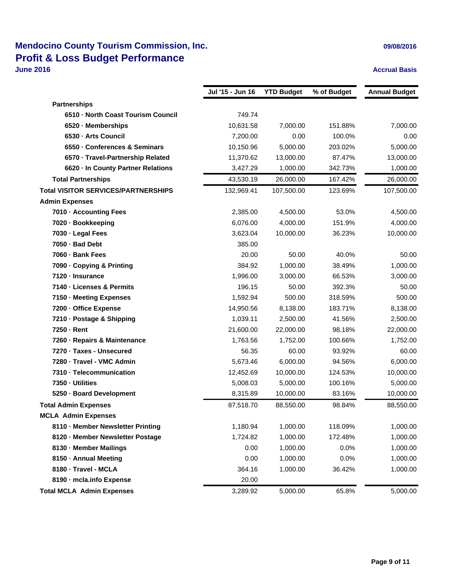## **Mendocino County Tourism Commission, Inc. Discription 2008/2016 09/08/2016 Profit & Loss Budget Performance**

### **June 2016 Accrual Basis**

|                                            | Jul '15 - Jun 16 | <b>YTD Budget</b> | % of Budget | <b>Annual Budget</b> |
|--------------------------------------------|------------------|-------------------|-------------|----------------------|
| <b>Partnerships</b>                        |                  |                   |             |                      |
| 6510 - North Coast Tourism Council         | 749.74           |                   |             |                      |
| 6520 - Memberships                         | 10,631.58        | 7,000.00          | 151.88%     | 7,000.00             |
| 6530 - Arts Council                        | 7,200.00         | 0.00              | 100.0%      | 0.00                 |
| 6550 - Conferences & Seminars              | 10,150.96        | 5,000.00          | 203.02%     | 5,000.00             |
| 6570 - Travel-Partnership Related          | 11,370.62        | 13,000.00         | 87.47%      | 13,000.00            |
| 6620 - In County Partner Relations         | 3,427.29         | 1,000.00          | 342.73%     | 1,000.00             |
| <b>Total Partnerships</b>                  | 43,530.19        | 26,000.00         | 167.42%     | 26,000.00            |
| <b>Total VISITOR SERVICES/PARTNERSHIPS</b> | 132,969.41       | 107,500.00        | 123.69%     | 107,500.00           |
| <b>Admin Expenses</b>                      |                  |                   |             |                      |
| 7010 - Accounting Fees                     | 2,385.00         | 4,500.00          | 53.0%       | 4,500.00             |
| 7020 - Bookkeeping                         | 6,076.00         | 4,000.00          | 151.9%      | 4,000.00             |
| 7030 - Legal Fees                          | 3,623.04         | 10,000.00         | 36.23%      | 10,000.00            |
| 7050 - Bad Debt                            | 385.00           |                   |             |                      |
| 7060 - Bank Fees                           | 20.00            | 50.00             | 40.0%       | 50.00                |
| 7090 Copying & Printing                    | 384.92           | 1,000.00          | 38.49%      | 1,000.00             |
| 7120 - Insurance                           | 1,996.00         | 3,000.00          | 66.53%      | 3,000.00             |
| 7140 - Licenses & Permits                  | 196.15           | 50.00             | 392.3%      | 50.00                |
| 7150 - Meeting Expenses                    | 1,592.94         | 500.00            | 318.59%     | 500.00               |
| 7200 - Office Expense                      | 14,950.56        | 8,138.00          | 183.71%     | 8,138.00             |
| 7210 - Postage & Shipping                  | 1,039.11         | 2,500.00          | 41.56%      | 2,500.00             |
| 7250 - Rent                                | 21,600.00        | 22,000.00         | 98.18%      | 22,000.00            |
| 7260 - Repairs & Maintenance               | 1,763.56         | 1,752.00          | 100.66%     | 1,752.00             |
| 7270 · Taxes - Unsecured                   | 56.35            | 60.00             | 93.92%      | 60.00                |
| 7280 - Travel - VMC Admin                  | 5,673.46         | 6,000.00          | 94.56%      | 6,000.00             |
| 7310 - Telecommunication                   | 12,452.69        | 10,000.00         | 124.53%     | 10,000.00            |
| 7350 - Utilities                           | 5,008.03         | 5,000.00          | 100.16%     | 5,000.00             |
| 5250 - Board Development                   | 8,315.89         | 10,000.00         | 83.16%      | 10,000.00            |
| <b>Total Admin Expenses</b>                | 87,518.70        | 88,550.00         | 98.84%      | 88,550.00            |
| <b>MCLA Admin Expenses</b>                 |                  |                   |             |                      |
| 8110 - Member Newsletter Printing          | 1,180.94         | 1,000.00          | 118.09%     | 1,000.00             |
| 8120 - Member Newsletter Postage           | 1,724.82         | 1,000.00          | 172.48%     | 1,000.00             |
| 8130 - Member Mailings                     | 0.00             | 1,000.00          | 0.0%        | 1,000.00             |
| 8150 · Annual Meeting                      | 0.00             | 1,000.00          | 0.0%        | 1,000.00             |
| 8180 - Travel - MCLA                       | 364.16           | 1,000.00          | 36.42%      | 1,000.00             |
| 8190 - mcla.info Expense                   | 20.00            |                   |             |                      |
| <b>Total MCLA Admin Expenses</b>           | 3,289.92         | 5,000.00          | 65.8%       | 5,000.00             |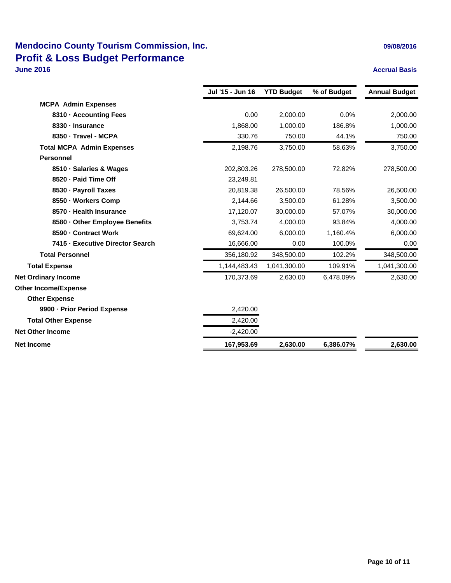### **Mendocino County Tourism Commission, Inc. Discription 2008/2016 09/08/2016 Profit & Loss Budget Performance June 2016 Accrual Basis**

|                                  | Jul '15 - Jun 16 | <b>YTD Budget</b> | % of Budget | <b>Annual Budget</b> |
|----------------------------------|------------------|-------------------|-------------|----------------------|
| <b>MCPA Admin Expenses</b>       |                  |                   |             |                      |
| 8310 - Accounting Fees           | 0.00             | 2.000.00          | 0.0%        | 2,000.00             |
| 8330 - Insurance                 | 1,868.00         | 1,000.00          | 186.8%      | 1,000.00             |
| 8350 - Travel - MCPA             | 330.76           | 750.00            | 44.1%       | 750.00               |
| <b>Total MCPA Admin Expenses</b> | 2,198.76         | 3,750.00          | 58.63%      | 3,750.00             |
| <b>Personnel</b>                 |                  |                   |             |                      |
| 8510 - Salaries & Wages          | 202,803.26       | 278,500.00        | 72.82%      | 278,500.00           |
| 8520 - Paid Time Off             | 23,249.81        |                   |             |                      |
| 8530 - Payroll Taxes             | 20,819.38        | 26,500.00         | 78.56%      | 26,500.00            |
| 8550 - Workers Comp              | 2,144.66         | 3,500.00          | 61.28%      | 3,500.00             |
| 8570 - Health Insurance          | 17,120.07        | 30,000.00         | 57.07%      | 30,000.00            |
| 8580 - Other Employee Benefits   | 3,753.74         | 4.000.00          | 93.84%      | 4,000.00             |
| 8590 - Contract Work             | 69,624.00        | 6,000.00          | 1,160.4%    | 6,000.00             |
| 7415 - Executive Director Search | 16,666.00        | 0.00              | 100.0%      | 0.00                 |
| <b>Total Personnel</b>           | 356,180.92       | 348,500.00        | 102.2%      | 348,500.00           |
| <b>Total Expense</b>             | 1,144,483.43     | 1,041,300.00      | 109.91%     | 1,041,300.00         |
| <b>Net Ordinary Income</b>       | 170,373.69       | 2,630.00          | 6,478.09%   | 2,630.00             |
| <b>Other Income/Expense</b>      |                  |                   |             |                      |
| <b>Other Expense</b>             |                  |                   |             |                      |
| 9900 - Prior Period Expense      | 2,420.00         |                   |             |                      |
| <b>Total Other Expense</b>       | 2,420.00         |                   |             |                      |
| <b>Net Other Income</b>          | $-2,420.00$      |                   |             |                      |
| <b>Net Income</b>                | 167,953.69       | 2,630.00          | 6,386.07%   | 2,630.00             |
|                                  |                  |                   |             |                      |